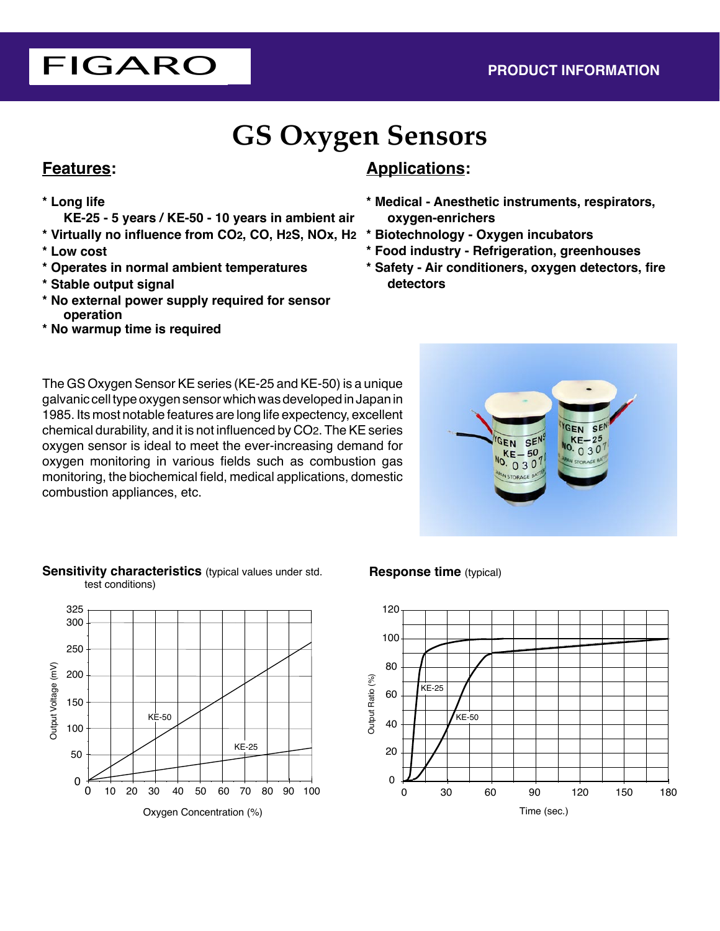# FIGARO **PRODUCT INFORMATION**

# **GS Oxygen Sensors**

## **Features:**

## **\* Long life**

 **KE-25 - 5 years / KE-50 - 10 years in ambient air**

- **\* Virtually no influence from CO2, CO, H2S, NOx, H2**
- **\* Low cost**
- **\* Operates in normal ambient temperatures**
- **\* Stable output signal**
- **\* No external power supply required for sensor operation**
- **\* No warmup time is required**

## **Applications:**

- **\* Medical Anesthetic instruments, respirators, oxygen-enrichers**
- **\* Biotechnology Oxygen incubators**
- **\* Food industry Refrigeration, greenhouses**
- **\* Safety Air conditioners, oxygen detectors, fire detectors**

The GS Oxygen Sensor KE series (KE-25 and KE-50) is a unique galvanic cell type oxygen sensor which was developed in Japan in 1985. Its most notable features are long life expectency, excellent chemical durability, and it is not influenced by CO2. The KE series oxygen sensor is ideal to meet the ever-increasing demand for oxygen monitoring in various fields such as combustion gas monitoring, the biochemical field, medical applications, domestic combustion appliances, etc.



#### **Sensitivity characteristics** (typical values under std. test conditions)



### **Response time** (typical)